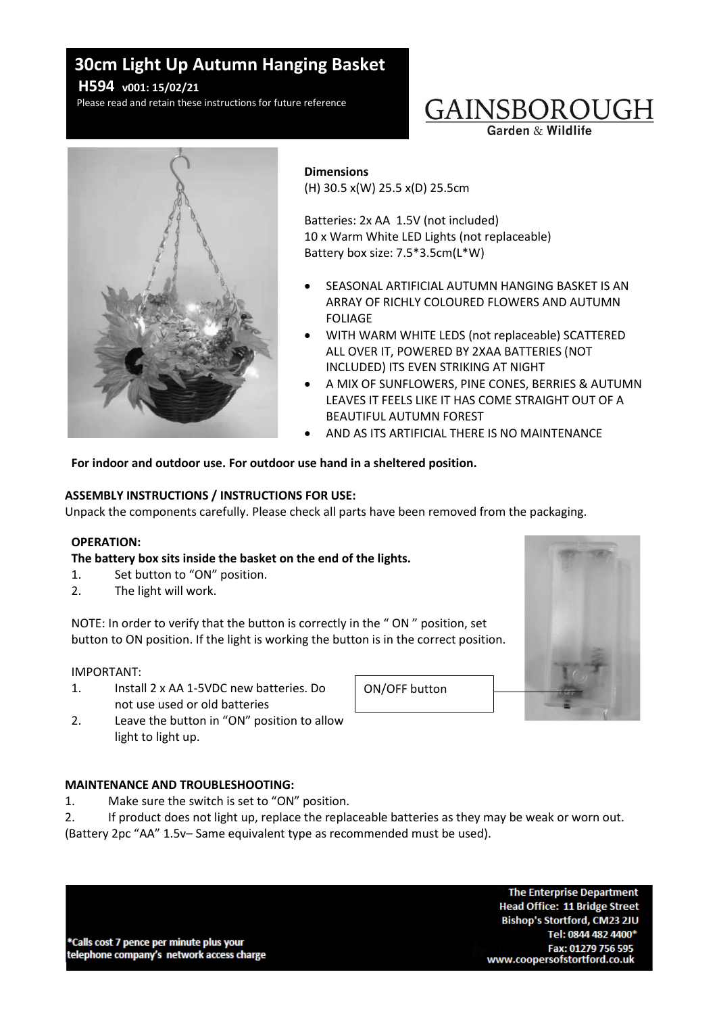# **30cm Light Up Autumn Hanging Basket**

**H594 v001: 15/02/21**

Please read and retain these instructions for future reference

# GAINSBOROUGH

Garden & Wildlife



#### **Dimensions**

(H) 30.5 x(W) 25.5 x(D) 25.5cm

Batteries: 2x AA 1.5V (not included) 10 x Warm White LED Lights (not replaceable) Battery box size: 7.5\*3.5cm(L\*W)

- SEASONAL ARTIFICIAL AUTUMN HANGING BASKET IS AN ARRAY OF RICHLY COLOURED FLOWERS AND AUTUMN FOLIAGE
- WITH WARM WHITE LEDS (not replaceable) SCATTERED ALL OVER IT, POWERED BY 2XAA BATTERIES (NOT INCLUDED) ITS EVEN STRIKING AT NIGHT
- A MIX OF SUNFLOWERS, PINE CONES, BERRIES & AUTUMN LEAVES IT FEELS LIKE IT HAS COME STRAIGHT OUT OF A BEAUTIFUL AUTUMN FOREST
- AND AS ITS ARTIFICIAL THERE IS NO MAINTENANCE

For indoor and outdoor use. For outdoor use hand in a sheltered position.

# **ASSEMBLY INSTRUCTIONS / INSTRUCTIONS FOR USE:**

Unpack the components carefully. Please check all parts have been removed from the packaging.

## **OPERATION:**

# **The battery box sits inside the basket on the end of the lights.**

- 1. Set button to "ON" position.
- 2. The light will work.

NOTE: In order to verify that the button is correctly in the " ON " position, set button to ON position. If the light is working the button is in the correct position.

## IMPORTANT:

- 1. Install 2 x AA 1-5VDC new batteries. Do not use used or old batteries
- 2. Leave the button in "ON" position to allow light to light up.

# **MAINTENANCE AND TROUBLESHOOTING:**

- 1. Make sure the switch is set to "ON" position.
- 2. If product does not light up, replace the replaceable batteries as they may be weak or worn out. (Battery 2pc "AA" 1.5v– Same equivalent type as recommended must be used).

ON/OFF button



\*Calls cost 7 pence per minute plus your telephone company's network access charge

**The Enterprise Department Head Office: 11 Bridge Street** Bishop's Stortford, CM23 2JU Tel: 0844 482 4400\* Fax: 01279 756 595 www.coopersofstortford.co.uk